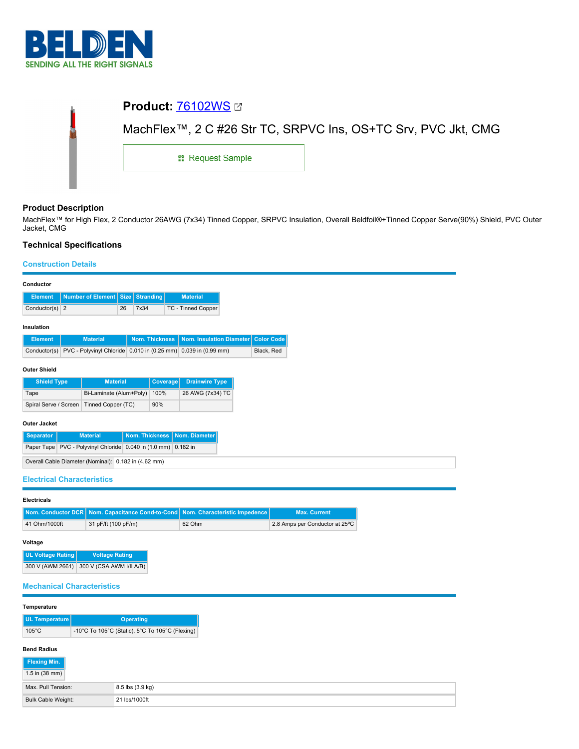

| <b>Product: 76102WS 27</b> |                                                               |
|----------------------------|---------------------------------------------------------------|
|                            | MachFlex™, 2 C #26 Str TC, SRPVC Ins, OS+TC Srv, PVC Jkt, CMG |
| <b>: Request Sample</b>    |                                                               |
|                            |                                                               |

# **Product Description**

MachFlex™ for High Flex, 2 Conductor 26AWG (7x34) Tinned Copper, SRPVC Insulation, Overall Beldfoil®+Tinned Copper Serve(90%) Shield, PVC Outer Jacket, CMG

# **Technical Specifications**

### **Construction Details**

| Conductor                                                      |                                                           |                          |    |           |                       |                                                                |  |                   |
|----------------------------------------------------------------|-----------------------------------------------------------|--------------------------|----|-----------|-----------------------|----------------------------------------------------------------|--|-------------------|
| <b>Element</b>                                                 |                                                           | Number of Element   Size |    | Stranding |                       | <b>Material</b>                                                |  |                   |
| Conductor(s) $2$                                               |                                                           |                          | 26 | 7x34      |                       | TC - Tinned Copper                                             |  |                   |
| Insulation                                                     |                                                           |                          |    |           |                       |                                                                |  |                   |
| <b>Element</b>                                                 |                                                           | <b>Material</b>          |    |           | <b>Nom. Thickness</b> | Nom. Insulation Diameter                                       |  | <b>Color Code</b> |
| Conductor(s)                                                   |                                                           |                          |    |           |                       | PVC - Polyvinyl Chloride 0.010 in (0.25 mm) 0.039 in (0.99 mm) |  | Black, Red        |
| <b>Outer Shield</b>                                            |                                                           |                          |    |           |                       |                                                                |  |                   |
| <b>Shield Type</b>                                             |                                                           | <b>Material</b>          |    |           | <b>Coverage</b>       | <b>Drainwire Type</b>                                          |  |                   |
| Tape                                                           |                                                           | Bi-Laminate (Alum+Poly)  |    |           | 100%                  | 26 AWG (7x34) TC                                               |  |                   |
| Spiral Serve / Screen                                          |                                                           | Tinned Copper (TC)       |    |           | 90%                   |                                                                |  |                   |
| <b>Outer Jacket</b>                                            |                                                           |                          |    |           |                       |                                                                |  |                   |
| <b>Separator</b>                                               | <b>Nom. Thickness</b><br>Nom. Diameter<br><b>Material</b> |                          |    |           |                       |                                                                |  |                   |
| Paper Tape PVC - Polyvinyl Chloride 0.040 in (1.0 mm) 0.182 in |                                                           |                          |    |           |                       |                                                                |  |                   |
| Overall Cable Diameter (Nominal): 0.182 in (4.62 mm)           |                                                           |                          |    |           |                       |                                                                |  |                   |
|                                                                |                                                           |                          |    |           |                       |                                                                |  |                   |

## **Electrical Characteristics**

| <b>Electricals</b> |                                                                                    |        |                                |  |  |  |  |
|--------------------|------------------------------------------------------------------------------------|--------|--------------------------------|--|--|--|--|
|                    | Nom. Conductor DCR   Nom. Capacitance Cond-to-Cond   Nom. Characteristic Impedence |        | <b>Max. Current</b>            |  |  |  |  |
| 41 Ohm/1000ft      | 31 pF/ft (100 pF/m)                                                                | 62 Ohm | 2.8 Amps per Conductor at 25°C |  |  |  |  |

### **Voltage**

| <b>UL Voltage Rating</b> | <b>Voltage Rating</b>    |  |  |
|--------------------------|--------------------------|--|--|
| 300 V (AWM 2661)         | 300 V (CSA AWM I/II A/B) |  |  |

### **Mechanical Characteristics**

| Temperature               |               |                                                 |  |  |  |
|---------------------------|---------------|-------------------------------------------------|--|--|--|
| UL Temperature            |               | <b>Operating</b>                                |  |  |  |
| $105^{\circ}$ C           |               | -10°C To 105°C (Static), 5°C To 105°C (Flexing) |  |  |  |
| <b>Bend Radius</b>        |               |                                                 |  |  |  |
| Flexing Min.              |               |                                                 |  |  |  |
| $1.5$ in (38 mm)          |               |                                                 |  |  |  |
| Max. Pull Tension:        |               | 8.5 lbs (3.9 kg)                                |  |  |  |
| <b>Bulk Cable Weight:</b> | 21 lbs/1000ft |                                                 |  |  |  |